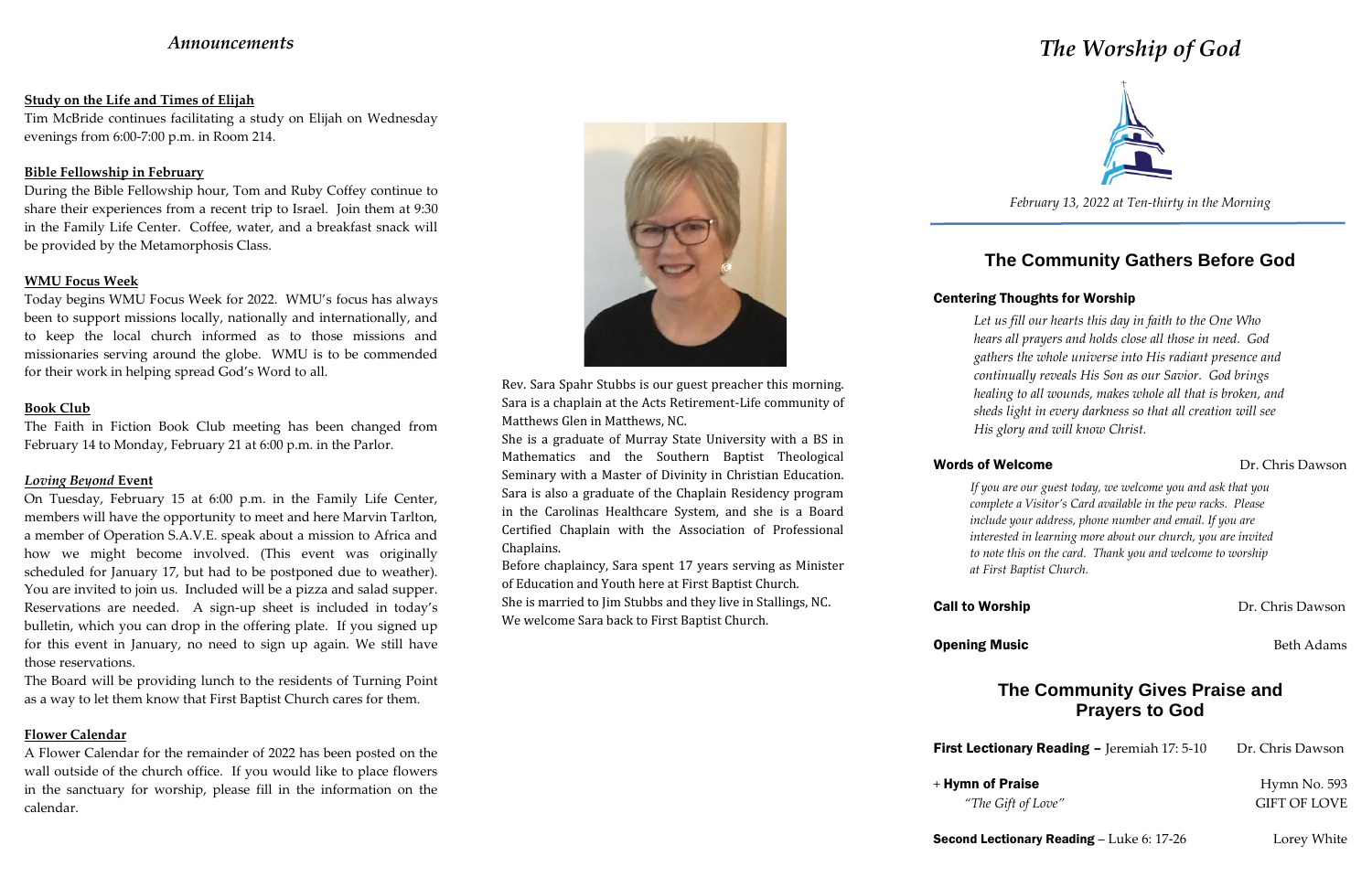# *Announcements*

# **Study on the Life and Times of Elijah**

Tim McBride continues facilitating a study on Elijah on Wednesday evenings from 6:00-7:00 p.m. in Room 214.

## **Bible Fellowship in February**

During the Bible Fellowship hour, Tom and Ruby Coffey continue to share their experiences from a recent trip to Israel. Join them at 9:30 in the Family Life Center. Coffee, water, and a breakfast snack will be provided by the Metamorphosis Class.

# **WMU Focus Week**

Today begins WMU Focus Week for 2022. WMU's focus has always been to support missions locally, nationally and internationally, and to keep the local church informed as to those missions and missionaries serving around the globe. WMU is to be commended for their work in helping spread God's Word to all.

### **Book Club**

The Faith in Fiction Book Club meeting has been changed from February 14 to Monday, February 21 at 6:00 p.m. in the Parlor.

# *Loving Beyond* **Event**

On Tuesday, February 15 at 6:00 p.m. in the Family Life Center, members will have the opportunity to meet and here Marvin Tarlton, a member of Operation S.A.V.E. speak about a mission to Africa and how we might become involved. (This event was originally scheduled for January 17, but had to be postponed due to weather). You are invited to join us. Included will be a pizza and salad supper. Reservations are needed. A sign-up sheet is included in today's bulletin, which you can drop in the offering plate. If you signed up for this event in January, no need to sign up again. We still have those reservations.

The Board will be providing lunch to the residents of Turning Point as a way to let them know that First Baptist Church cares for them.

### **Flower Calendar**

A Flower Calendar for the remainder of 2022 has been posted on the wall outside of the church office. If you would like to place flowers in the sanctuary for worship, please fill in the information on the calendar.



# *The Worship of God*



*February 13, 2022 at Ten-thirty in the Morning*

# **The Community Gathers Before God**

# Centering Thoughts for Worship

**Opening Music Beth Adams Beth Adams** 

+ Hymn of Praise Hymn No. 593 *"The Gift of Love"* GIFT OF LOVE

*Let us fill our hearts this day in faith to the One Who hears all prayers and holds close all those in need. God gathers the whole universe into His radiant presence and continually reveals His Son as our Savior. God brings healing to all wounds, makes whole all that is broken, and sheds light in every darkness so that all creation will see His glory and will know Christ.*

*If you are our guest today, we welcome you and ask that you complete a Visitor's Card available in the pew racks. Please include your address, phone number and email. If you are interested in learning more about our church, you are invited to note this on the card. Thank you and welcome to worship at First Baptist Church.*

### Words of Welcome **Dr.** Chris Dawson

**Call to Worship Call to Worship Call to Worship Call to Worship Call to Worship Call to Worship Call to Worship Call to Worship Call to Worship Call to Worship Call to Worship Call to Worship Call to Worship Call to Worsh** 

# **The Community Gives Praise and Prayers to God**

First Lectionary Reading - Jeremiah 17: 5-10 Dr. Chris Dawson

**Second Lectionary Reading – Luke 6: 17-26** Lorey White

Rev. Sara Spahr Stubbs is our guest preacher this morning. Sara is a chaplain at the Acts Retirement-Life community of Matthews Glen in Matthews, NC.

She is a graduate of Murray State University with a BS in Mathematics and the Southern Baptist Theological Seminary with a Master of Divinity in Christian Education. Sara is also a graduate of the Chaplain Residency program in the Carolinas Healthcare System, and she is a Board Certified Chaplain with the Association of Professional Chaplains.

Before chaplaincy, Sara spent 17 years serving as Minister of Education and Youth here at First Baptist Church. She is married to Jim Stubbs and they live in Stallings, NC. We welcome Sara back to First Baptist Church.